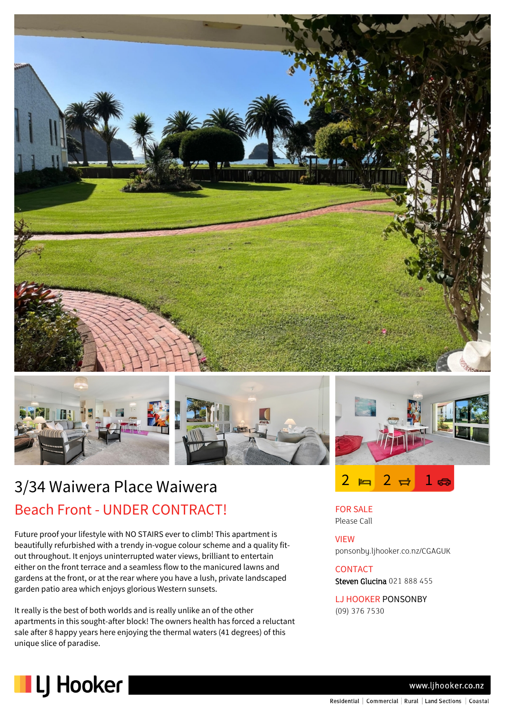

## 3/34 Waiwera Place Waiwera Beach Front - UNDER CONTRACT!

Future proof your lifestyle with NO STAIRS ever to climb! This apartment is beautifully refurbished with a trendy in-vogue colour scheme and a quality fitout throughout. It enjoys uninterrupted water views, brilliant to entertain either on the front terrace and a seamless flow to the manicured lawns and gardens at the front, or at the rear where you have a lush, private landscaped garden patio area which enjoys glorious Western sunsets.

It really is the best of both worlds and is really unlike an of the other apartments in this sought-after block! The owners health has forced a reluctant sale after 8 happy years here enjoying the thermal waters (41 degrees) of this unique slice of paradise.



FOR SALE Please Call

VIEW ponsonby.ljhooker.co.nz/CGAGUK

**CONTACT** Steven Glucina 021 888 455

LJ HOOKER PONSONBY (09) 376 7530